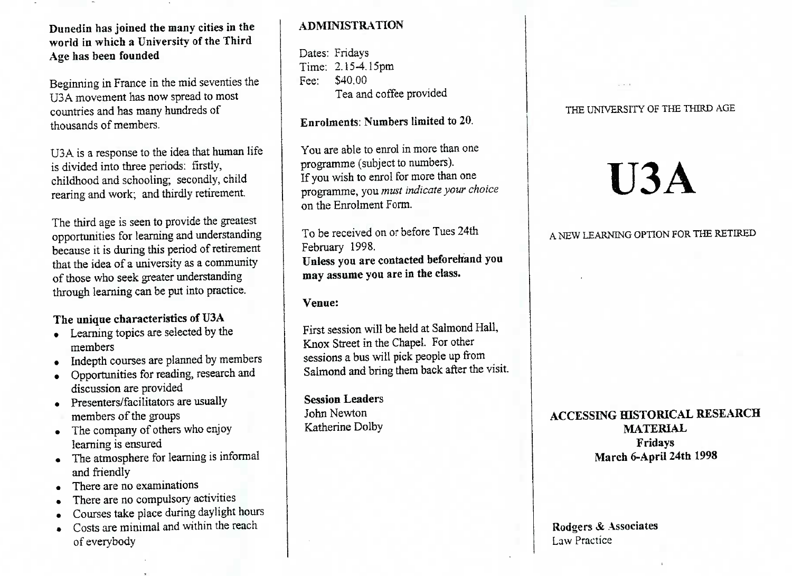#### Dunedin **has joined the many cities in theworld in which a University of the ThirdAge has been founded**

Beginning in France in the mid seventies theU3A movement has now spread to mostcountries and has many hundreds ofthousands of members.

U3A is a response to the idea that human lifeis divided into three periods: firstly,hildhood and schooling; secondly, child earing and work; and thirdly retirement.

The third age is seen to provide the greatest opportunities for learning and understanding because it is during this period of retirementthat the idea of a university as a communityof those who seek greater understandingthrough learning can be put into practice.

#### **The unique characteristics of U3A**

- Learning topics are selected by themembers
- Indepth courses are planned by members
- Opportunities for reading, research anddiscussion are provided
- Presenters/facilitators are usuallymembers of the groups
- The company of others who enjoylearning is ensured
- The atmosphere for learning is informal and friendly
- There are no examinations
- There are no compulsory activities
- Courses take place during daylight hours
- Costs are minimal and within the reachof everybody

#### **ADMINISTRATION**

Dates: Fridays $\text{Im}$ e: 2.15-4.15pm Fee: S40.00ea and correct provided

#### **Enrolments: Numbers limited to 20.**

You are able to enrol in more than one programme (subject to numbers). programme (subject to numbers). If you wish to enfor for more than one on the Enrolment Form.

To be received on or before Tues 24th<br>February 1998. February 1998. **Unless you are contacted beforehand youmay assume you are in the class.**

#### **Venue:**

First session will be held at Salmond Hall,<br>Knox Street in the Chapel. For other Knox Street in the Chapel. For other sessions a bus will pick people up from Salmond and bring them back after the visit.

**Session Leaders**John NewtonKatherine Dolby

#### THE UNIVERSITY OF THE THIRD AGE

# **U3A**

#### A NEW LEARNING OPTION FOR THE RETIRED A NEW LEARNING OPTION FOR THE RETIRED

## **ACCESSING HISTORICAL RESEARCHFridays Fridays March 6-ApriI 24th 1998**

**Rodgers & Associates**Law Practice